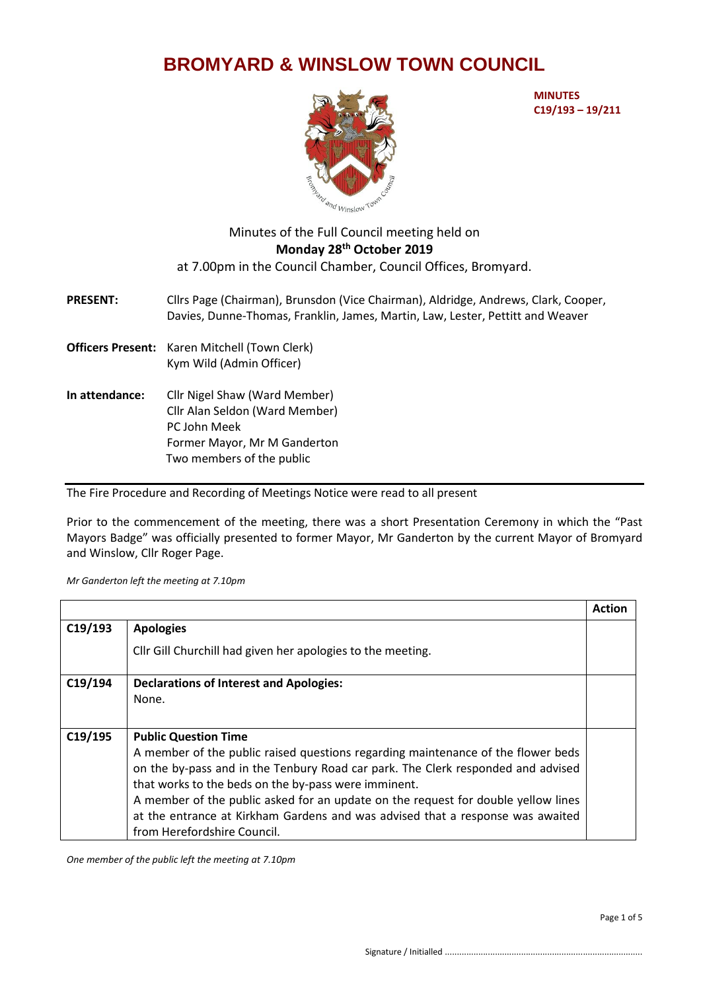## **BROMYARD & WINSLOW TOWN COUNCIL**



**MINUTES C19/193 – 19/211**

## Minutes of the Full Council meeting held on **Monday 28th October 2019** at 7.00pm in the Council Chamber, Council Offices, Bromyard.

**PRESENT:** Cllrs Page (Chairman), Brunsdon (Vice Chairman), Aldridge, Andrews, Clark, Cooper, Davies, Dunne-Thomas, Franklin, James, Martin, Law, Lester, Pettitt and Weaver

- **Officers Present:** Karen Mitchell (Town Clerk) Kym Wild (Admin Officer)
- **In attendance:** Cllr Nigel Shaw (Ward Member) Cllr Alan Seldon (Ward Member) PC John Meek Former Mayor, Mr M Ganderton Two members of the public

The Fire Procedure and Recording of Meetings Notice were read to all present

Prior to the commencement of the meeting, there was a short Presentation Ceremony in which the "Past Mayors Badge" was officially presented to former Mayor, Mr Ganderton by the current Mayor of Bromyard and Winslow, Cllr Roger Page.

*Mr Ganderton left the meeting at 7.10pm*

|         |                                                                                   | <b>Action</b> |
|---------|-----------------------------------------------------------------------------------|---------------|
| C19/193 | <b>Apologies</b>                                                                  |               |
|         | Cllr Gill Churchill had given her apologies to the meeting.                       |               |
| C19/194 | <b>Declarations of Interest and Apologies:</b>                                    |               |
|         | None.                                                                             |               |
|         |                                                                                   |               |
| C19/195 | <b>Public Question Time</b>                                                       |               |
|         | A member of the public raised questions regarding maintenance of the flower beds  |               |
|         | on the by-pass and in the Tenbury Road car park. The Clerk responded and advised  |               |
|         | that works to the beds on the by-pass were imminent.                              |               |
|         | A member of the public asked for an update on the request for double yellow lines |               |
|         | at the entrance at Kirkham Gardens and was advised that a response was awaited    |               |
|         | from Herefordshire Council.                                                       |               |

*One member of the public left the meeting at 7.10pm*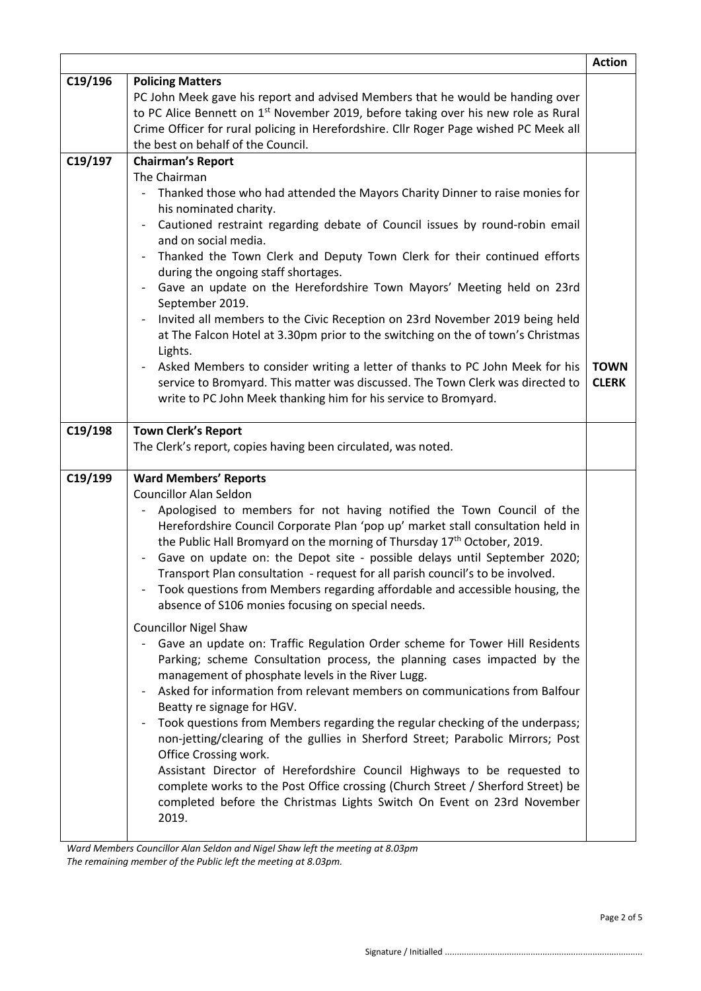|         |                                                                                                              | <b>Action</b> |
|---------|--------------------------------------------------------------------------------------------------------------|---------------|
| C19/196 | <b>Policing Matters</b>                                                                                      |               |
|         | PC John Meek gave his report and advised Members that he would be handing over                               |               |
|         | to PC Alice Bennett on 1 <sup>st</sup> November 2019, before taking over his new role as Rural               |               |
|         | Crime Officer for rural policing in Herefordshire. Cllr Roger Page wished PC Meek all                        |               |
|         | the best on behalf of the Council.                                                                           |               |
| C19/197 | <b>Chairman's Report</b>                                                                                     |               |
|         | The Chairman                                                                                                 |               |
|         | Thanked those who had attended the Mayors Charity Dinner to raise monies for<br>his nominated charity.       |               |
|         | Cautioned restraint regarding debate of Council issues by round-robin email                                  |               |
|         | and on social media.                                                                                         |               |
|         | Thanked the Town Clerk and Deputy Town Clerk for their continued efforts                                     |               |
|         | during the ongoing staff shortages.<br>Gave an update on the Herefordshire Town Mayors' Meeting held on 23rd |               |
|         | September 2019.                                                                                              |               |
|         | Invited all members to the Civic Reception on 23rd November 2019 being held                                  |               |
|         | at The Falcon Hotel at 3.30pm prior to the switching on the of town's Christmas<br>Lights.                   |               |
|         | Asked Members to consider writing a letter of thanks to PC John Meek for his                                 | <b>TOWN</b>   |
|         | service to Bromyard. This matter was discussed. The Town Clerk was directed to                               | <b>CLERK</b>  |
|         | write to PC John Meek thanking him for his service to Bromyard.                                              |               |
|         |                                                                                                              |               |
| C19/198 | <b>Town Clerk's Report</b>                                                                                   |               |
|         | The Clerk's report, copies having been circulated, was noted.                                                |               |
| C19/199 | <b>Ward Members' Reports</b>                                                                                 |               |
|         | <b>Councillor Alan Seldon</b>                                                                                |               |
|         | Apologised to members for not having notified the Town Council of the                                        |               |
|         | Herefordshire Council Corporate Plan 'pop up' market stall consultation held in                              |               |
|         | the Public Hall Bromyard on the morning of Thursday 17 <sup>th</sup> October, 2019.                          |               |
|         | Gave on update on: the Depot site - possible delays until September 2020;                                    |               |
|         | Transport Plan consultation - request for all parish council's to be involved.                               |               |
|         | Took questions from Members regarding affordable and accessible housing, the                                 |               |
|         | absence of S106 monies focusing on special needs.                                                            |               |
|         | <b>Councillor Nigel Shaw</b>                                                                                 |               |
|         | Gave an update on: Traffic Regulation Order scheme for Tower Hill Residents                                  |               |
|         | Parking; scheme Consultation process, the planning cases impacted by the                                     |               |
|         | management of phosphate levels in the River Lugg.                                                            |               |
|         | Asked for information from relevant members on communications from Balfour                                   |               |
|         | Beatty re signage for HGV.                                                                                   |               |
|         | Took questions from Members regarding the regular checking of the underpass;<br>$\overline{\phantom{a}}$     |               |
|         | non-jetting/clearing of the gullies in Sherford Street; Parabolic Mirrors; Post                              |               |
|         | Office Crossing work.<br>Assistant Director of Herefordshire Council Highways to be requested to             |               |
|         | complete works to the Post Office crossing (Church Street / Sherford Street) be                              |               |
|         | completed before the Christmas Lights Switch On Event on 23rd November                                       |               |
|         | 2019.                                                                                                        |               |
|         |                                                                                                              |               |
|         | Ward Members Councillor Alan Seldon and Nigel Show Left the meeting at 8.03nm                                |               |

*Ward Members Councillor Alan Seldon and Nigel Shaw left the meeting at 8.03pm The remaining member of the Public left the meeting at 8.03pm.*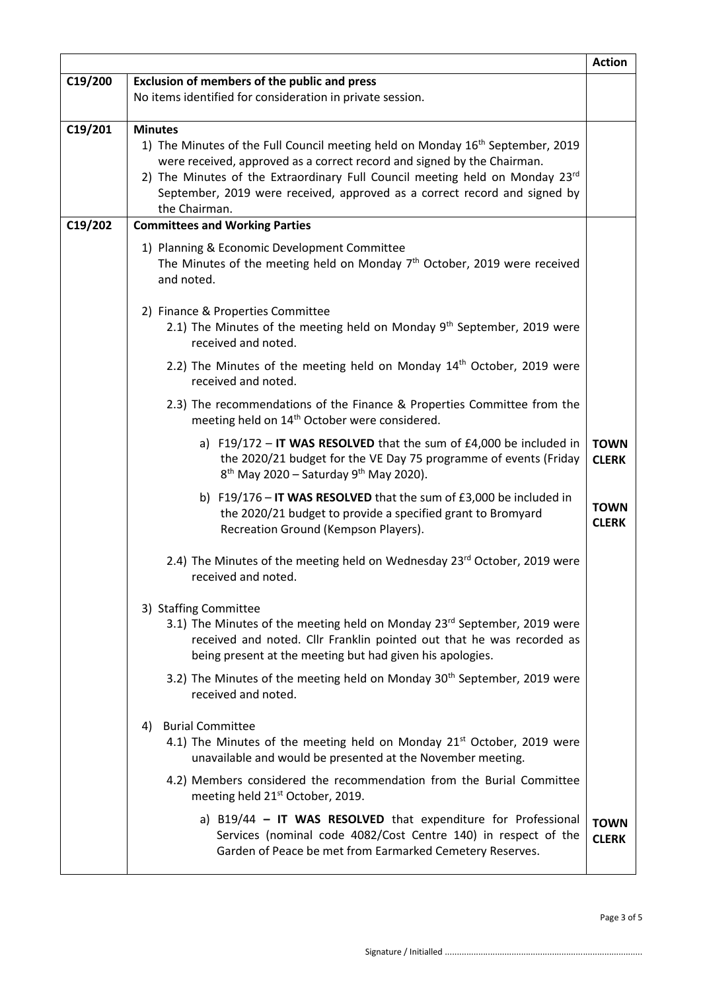|         |                                                                                                                                                                                                                                                                                                                                                                       | <b>Action</b>               |
|---------|-----------------------------------------------------------------------------------------------------------------------------------------------------------------------------------------------------------------------------------------------------------------------------------------------------------------------------------------------------------------------|-----------------------------|
| C19/200 | <b>Exclusion of members of the public and press</b>                                                                                                                                                                                                                                                                                                                   |                             |
|         | No items identified for consideration in private session.                                                                                                                                                                                                                                                                                                             |                             |
| C19/201 | <b>Minutes</b><br>1) The Minutes of the Full Council meeting held on Monday 16 <sup>th</sup> September, 2019<br>were received, approved as a correct record and signed by the Chairman.<br>2) The Minutes of the Extraordinary Full Council meeting held on Monday 23rd<br>September, 2019 were received, approved as a correct record and signed by<br>the Chairman. |                             |
| C19/202 | <b>Committees and Working Parties</b>                                                                                                                                                                                                                                                                                                                                 |                             |
|         | 1) Planning & Economic Development Committee<br>The Minutes of the meeting held on Monday $7th$ October, 2019 were received<br>and noted.                                                                                                                                                                                                                             |                             |
|         | 2) Finance & Properties Committee<br>2.1) The Minutes of the meeting held on Monday 9 <sup>th</sup> September, 2019 were<br>received and noted.                                                                                                                                                                                                                       |                             |
|         | 2.2) The Minutes of the meeting held on Monday $14th$ October, 2019 were<br>received and noted.                                                                                                                                                                                                                                                                       |                             |
|         | 2.3) The recommendations of the Finance & Properties Committee from the<br>meeting held on 14 <sup>th</sup> October were considered.                                                                                                                                                                                                                                  |                             |
|         | a) F19/172 - IT WAS RESOLVED that the sum of $E4,000$ be included in<br>the 2020/21 budget for the VE Day 75 programme of events (Friday<br>$8th$ May 2020 – Saturday 9 <sup>th</sup> May 2020).                                                                                                                                                                      | <b>TOWN</b><br><b>CLERK</b> |
|         | b) F19/176 - IT WAS RESOLVED that the sum of £3,000 be included in<br>the 2020/21 budget to provide a specified grant to Bromyard<br>Recreation Ground (Kempson Players).                                                                                                                                                                                             | <b>TOWN</b><br><b>CLERK</b> |
|         | 2.4) The Minutes of the meeting held on Wednesday 23rd October, 2019 were<br>received and noted.                                                                                                                                                                                                                                                                      |                             |
|         | 3) Staffing Committee<br>3.1) The Minutes of the meeting held on Monday 23 <sup>rd</sup> September, 2019 were<br>received and noted. Cllr Franklin pointed out that he was recorded as<br>being present at the meeting but had given his apologies.                                                                                                                   |                             |
|         | 3.2) The Minutes of the meeting held on Monday 30 <sup>th</sup> September, 2019 were<br>received and noted.                                                                                                                                                                                                                                                           |                             |
|         | 4) Burial Committee<br>4.1) The Minutes of the meeting held on Monday $21^{st}$ October, 2019 were<br>unavailable and would be presented at the November meeting.                                                                                                                                                                                                     |                             |
|         | 4.2) Members considered the recommendation from the Burial Committee<br>meeting held 21 <sup>st</sup> October, 2019.                                                                                                                                                                                                                                                  |                             |
|         | a) $B19/44$ - IT WAS RESOLVED that expenditure for Professional<br>Services (nominal code 4082/Cost Centre 140) in respect of the<br>Garden of Peace be met from Earmarked Cemetery Reserves.                                                                                                                                                                         | <b>TOWN</b><br><b>CLERK</b> |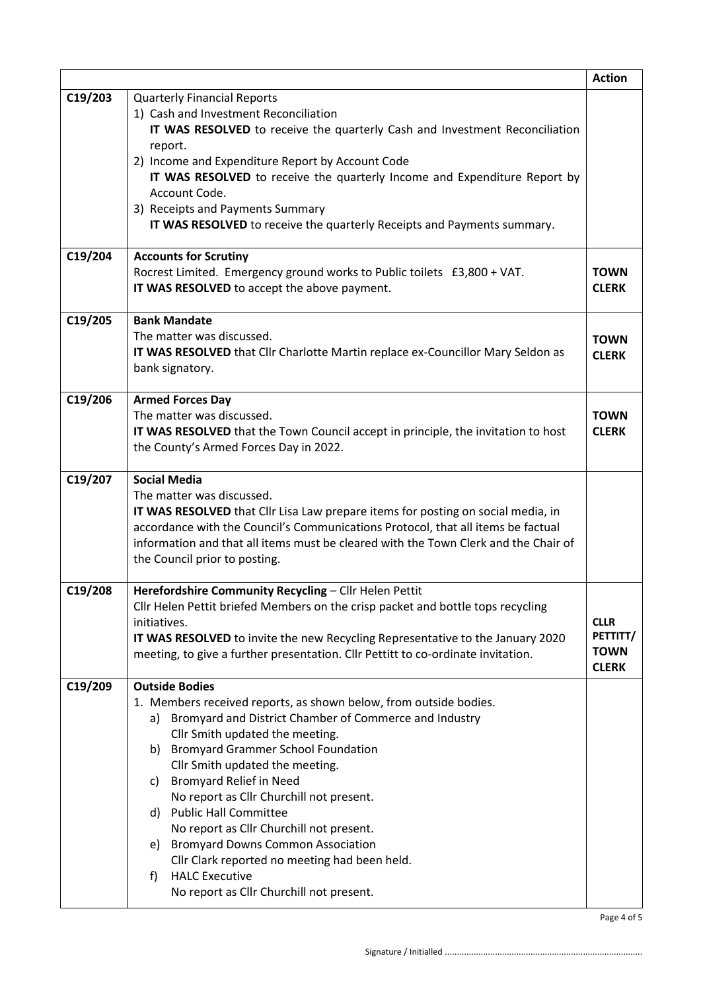|         |                                                                                                                                                                                                                                                                                                                                                                                                                                                                                                                                                                                                                                         | <b>Action</b>                                          |
|---------|-----------------------------------------------------------------------------------------------------------------------------------------------------------------------------------------------------------------------------------------------------------------------------------------------------------------------------------------------------------------------------------------------------------------------------------------------------------------------------------------------------------------------------------------------------------------------------------------------------------------------------------------|--------------------------------------------------------|
| C19/203 | <b>Quarterly Financial Reports</b><br>1) Cash and Investment Reconciliation<br>IT WAS RESOLVED to receive the quarterly Cash and Investment Reconciliation<br>report.<br>2) Income and Expenditure Report by Account Code<br>IT WAS RESOLVED to receive the quarterly Income and Expenditure Report by<br>Account Code.<br>3) Receipts and Payments Summary<br>IT WAS RESOLVED to receive the quarterly Receipts and Payments summary.                                                                                                                                                                                                  |                                                        |
| C19/204 | <b>Accounts for Scrutiny</b><br>Rocrest Limited. Emergency ground works to Public toilets £3,800 + VAT.<br>IT WAS RESOLVED to accept the above payment.                                                                                                                                                                                                                                                                                                                                                                                                                                                                                 | <b>TOWN</b><br><b>CLERK</b>                            |
| C19/205 | <b>Bank Mandate</b><br>The matter was discussed.<br>IT WAS RESOLVED that Cllr Charlotte Martin replace ex-Councillor Mary Seldon as<br>bank signatory.                                                                                                                                                                                                                                                                                                                                                                                                                                                                                  | <b>TOWN</b><br><b>CLERK</b>                            |
| C19/206 | <b>Armed Forces Day</b><br>The matter was discussed.<br>IT WAS RESOLVED that the Town Council accept in principle, the invitation to host<br>the County's Armed Forces Day in 2022.                                                                                                                                                                                                                                                                                                                                                                                                                                                     | <b>TOWN</b><br><b>CLERK</b>                            |
| C19/207 | <b>Social Media</b><br>The matter was discussed.<br>IT WAS RESOLVED that Cllr Lisa Law prepare items for posting on social media, in<br>accordance with the Council's Communications Protocol, that all items be factual<br>information and that all items must be cleared with the Town Clerk and the Chair of<br>the Council prior to posting.                                                                                                                                                                                                                                                                                        |                                                        |
| C19/208 | Herefordshire Community Recycling - Cllr Helen Pettit<br>Cllr Helen Pettit briefed Members on the crisp packet and bottle tops recycling<br>initiatives.<br>IT WAS RESOLVED to invite the new Recycling Representative to the January 2020<br>meeting, to give a further presentation. Cllr Pettitt to co-ordinate invitation.                                                                                                                                                                                                                                                                                                          | <b>CLLR</b><br>PETTITT/<br><b>TOWN</b><br><b>CLERK</b> |
| C19/209 | <b>Outside Bodies</b><br>1. Members received reports, as shown below, from outside bodies.<br>Bromyard and District Chamber of Commerce and Industry<br>a)<br>Cllr Smith updated the meeting.<br><b>Bromyard Grammer School Foundation</b><br>b)<br>Cllr Smith updated the meeting.<br><b>Bromyard Relief in Need</b><br>C)<br>No report as Cllr Churchill not present.<br><b>Public Hall Committee</b><br>d)<br>No report as Cllr Churchill not present.<br><b>Bromyard Downs Common Association</b><br>e)<br>Cllr Clark reported no meeting had been held.<br><b>HALC Executive</b><br>f)<br>No report as Cllr Churchill not present. |                                                        |